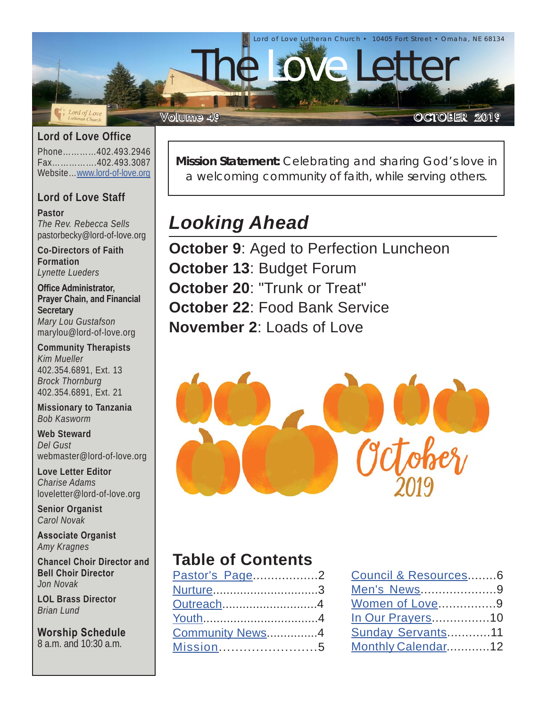

#### **Lord of Love Office**

Phone…………402.493.2946 Fax…………….402.493.3087 Website…[www.lord-of-love.org](http://www.lord-of-love.org)

#### **Lord of Love Staff**

**Pastor** *The Rev. Rebecca Sells* pastorbecky@lord-of-love.org

**Co-Directors of Faith Formation** *Lynette Lueders*

**Office Administrator, Prayer Chain, and Financial Secretary** *Mary Lou Gustafson* marylou@lord-of-love.org

**Community Therapists** *Kim Mueller* 402.354.6891, Ext. 13 *Brock Thornburg* 402.354.6891, Ext. 21

**Missionary to Tanzania** *Bob Kasworm*

#### **Web Steward** *Del Gust* webmaster@lord-of-love.org

**Love Letter Editor** *Charise Adams* loveletter@lord-of-love.org

**Senior Organist** *Carol Novak*

**Associate Organist** *Amy Kragnes*

**Chancel Choir Director and Bell Choir Director** *Jon Novak*

**LOL Brass Director** *Brian Lund*

**Worship Schedule** 8 a.m. and 10:30 a.m.

**Mission Statement:** Celebrating and sharing God's love in a welcoming community of faith, while serving others.

# *Looking Ahead*

**October 9: Aged to Perfection Luncheon October 13**: Budget Forum **October 20**: "Trunk or Treat" **October 22**: Food Bank Service **November 2**: Loads of Love



## **Table of Contents**

| Pastor's Page2  |  |
|-----------------|--|
| Nurture3        |  |
| Outreach4       |  |
|                 |  |
| Community News4 |  |
| Mission5        |  |

| Council & Resources6     |  |
|--------------------------|--|
| Men's News9              |  |
| Women of Love9           |  |
| <u>In Our Prayers</u> 10 |  |
| Sunday Servants11        |  |
| Monthly Calendar12       |  |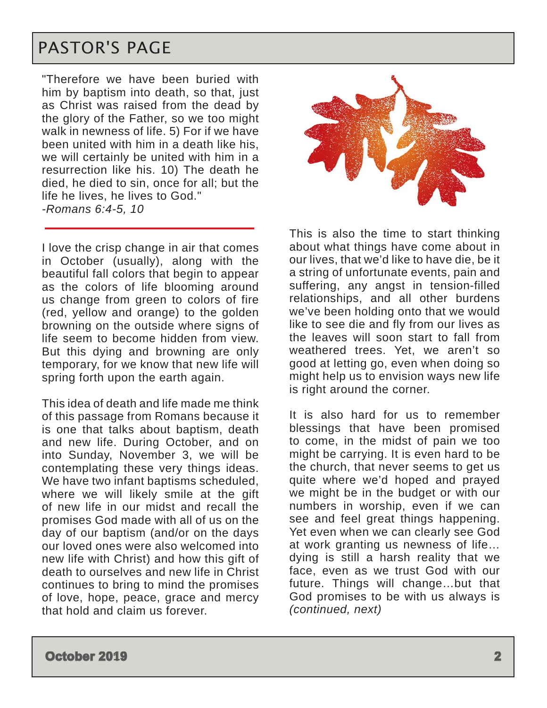## <span id="page-1-0"></span>PASTOR'S PAGE

"Therefore we have been buried with him by baptism into death, so that, just as Christ was raised from the dead by the glory of the Father, so we too might walk in newness of life. 5) For if we have been united with him in a death like his, we will certainly be united with him in a resurrection like his. 10) The death he died, he died to sin, once for all; but the life he lives, he lives to God." *-Romans 6:4-5, 10*

I love the crisp change in air that comes in October (usually), along with the beautiful fall colors that begin to appear as the colors of life blooming around us change from green to colors of fire (red, yellow and orange) to the golden browning on the outside where signs of life seem to become hidden from view. But this dying and browning are only temporary, for we know that new life will spring forth upon the earth again.

This idea of death and life made me think of this passage from Romans because it is one that talks about baptism, death and new life. During October, and on into Sunday, November 3, we will be contemplating these very things ideas. We have two infant baptisms scheduled, where we will likely smile at the gift of new life in our midst and recall the promises God made with all of us on the day of our baptism (and/or on the days our loved ones were also welcomed into new life with Christ) and how this gift of death to ourselves and new life in Christ continues to bring to mind the promises of love, hope, peace, grace and mercy that hold and claim us forever.



This is also the time to start thinking about what things have come about in our lives, that we'd like to have die, be it a string of unfortunate events, pain and suffering, any angst in tension-filled relationships, and all other burdens we've been holding onto that we would like to see die and fly from our lives as the leaves will soon start to fall from weathered trees. Yet, we aren't so good at letting go, even when doing so might help us to envision ways new life is right around the corner.

It is also hard for us to remember blessings that have been promised to come, in the midst of pain we too might be carrying. It is even hard to be the church, that never seems to get us quite where we'd hoped and prayed we might be in the budget or with our numbers in worship, even if we can see and feel great things happening. Yet even when we can clearly see God at work granting us newness of life… dying is still a harsh reality that we face, even as we trust God with our future. Things will change…but that God promises to be with us always is *(continued, next)*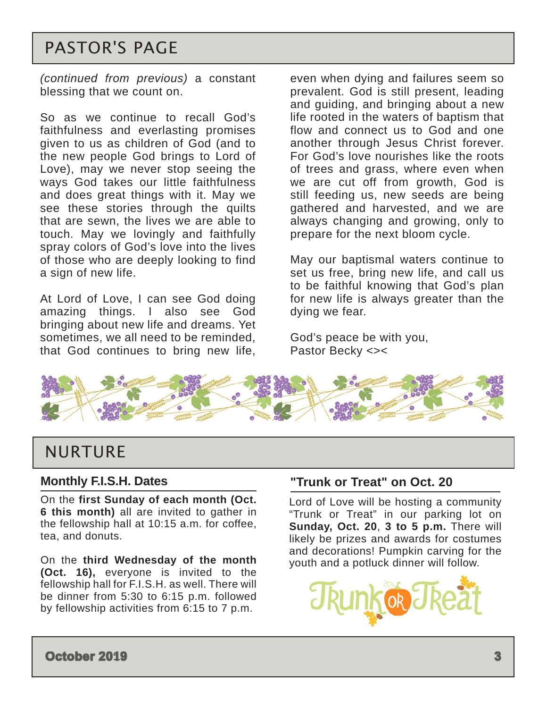# <span id="page-2-0"></span>PASTOR'S PAGE

*(continued from previous)* a constant blessing that we count on.

So as we continue to recall God's faithfulness and everlasting promises given to us as children of God (and to the new people God brings to Lord of Love), may we never stop seeing the ways God takes our little faithfulness and does great things with it. May we see these stories through the quilts that are sewn, the lives we are able to touch. May we lovingly and faithfully spray colors of God's love into the lives of those who are deeply looking to find a sign of new life.

At Lord of Love, I can see God doing amazing things. I also see God bringing about new life and dreams. Yet sometimes, we all need to be reminded, that God continues to bring new life, even when dying and failures seem so prevalent. God is still present, leading and guiding, and bringing about a new life rooted in the waters of baptism that flow and connect us to God and one another through Jesus Christ forever. For God's love nourishes like the roots of trees and grass, where even when we are cut off from growth, God is still feeding us, new seeds are being gathered and harvested, and we are always changing and growing, only to prepare for the next bloom cycle.

May our baptismal waters continue to set us free, bring new life, and call us to be faithful knowing that God's plan for new life is always greater than the dying we fear.

God's peace be with you, Pastor Becky <><



## NURTURE

#### **Monthly F.I.S.H. Dates**

On the **first Sunday of each month (Oct. 6 this month)** all are invited to gather in the fellowship hall at 10:15 a.m. for coffee, tea, and donuts.

On the **third Wednesday of the month (Oct. 16),** everyone is invited to the fellowship hall for F.I.S.H. as well. There will be dinner from 5:30 to 6:15 p.m. followed by fellowship activities from 6:15 to 7 p.m.

### **"Trunk or Treat" on Oct. 20**

Lord of Love will be hosting a community "Trunk or Treat" in our parking lot on **Sunday, Oct. 20**, **3 to 5 p.m.** There will likely be prizes and awards for costumes and decorations! Pumpkin carving for the youth and a potluck dinner will follow.

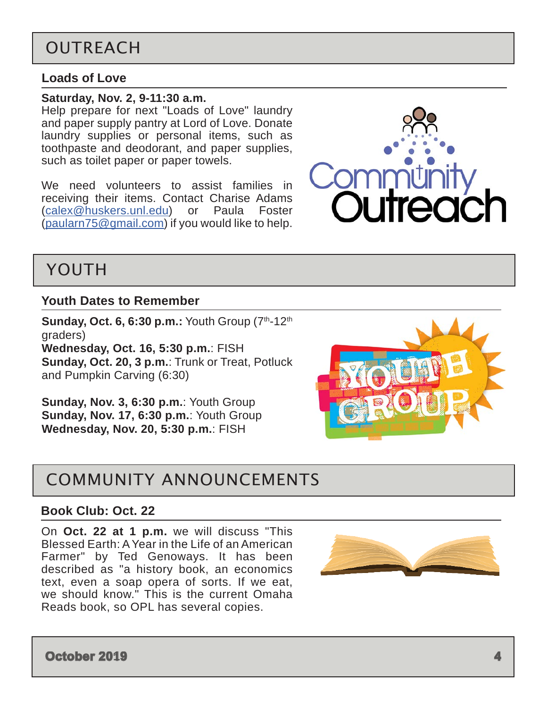# <span id="page-3-0"></span>OUTREACH

#### **Loads of Love**

#### **Saturday, Nov. 2, 9-11:30 a.m.**

Help prepare for next "Loads of Love" laundry and paper supply pantry at Lord of Love. Donate laundry supplies or personal items, such as toothpaste and deodorant, and paper supplies, such as toilet paper or paper towels.

We need volunteers to assist families in receiving their items. Contact Charise Adams ([calex@huskers.unl.edu\)](mailto:calex%40huskers.unl.edu?subject=) or Paula Foster ([paularn75@gmail.com\)](mailto:paularn75%40gmail.com?subject=) if you would like to help.



## YOUTH

#### **Youth Dates to Remember**

**Sunday, Oct. 6, 6:30 p.m.:** Youth Group (7th-12th) graders) **Wednesday, Oct. 16, 5:30 p.m.**: FISH **Sunday, Oct. 20, 3 p.m.**: Trunk or Treat, Potluck and Pumpkin Carving (6:30)

**Sunday, Nov. 3, 6:30 p.m.**: Youth Group **Sunday, Nov. 17, 6:30 p.m.**: Youth Group **Wednesday, Nov. 20, 5:30 p.m.**: FISH

## COMMUNITY ANNOUNCEMENTS

#### **Book Club: Oct. 22**

On **Oct. 22 at 1 p.m.** we will discuss "This Blessed Earth: A Year in the Life of an American Farmer" by Ted Genoways. It has been described as "a history book, an economics text, even a soap opera of sorts. If we eat, we should know." This is the current Omaha Reads book, so OPL has several copies.



**October 2019 4**

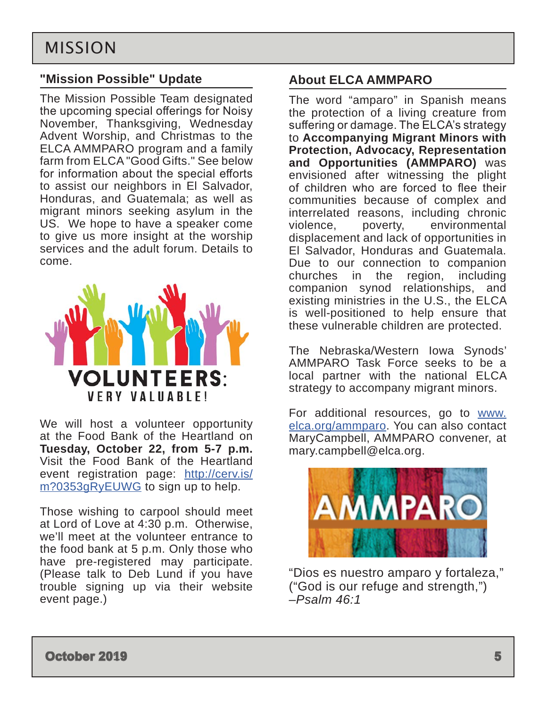### <span id="page-4-0"></span>**"Mission Possible" Update**

The Mission Possible Team designated the upcoming special offerings for Noisy November, Thanksgiving, Wednesday Advent Worship, and Christmas to the ELCA AMMPARO program and a family farm from ELCA "Good Gifts." See below for information about the special efforts to assist our neighbors in El Salvador, Honduras, and Guatemala; as well as migrant minors seeking asylum in the US. We hope to have a speaker come to give us more insight at the worship services and the adult forum. Details to come.



We will host a volunteer opportunity at the Food Bank of the Heartland on **Tuesday, October 22, from 5-7 p.m.**  Visit the Food Bank of the Heartland event registration page: [http://cerv.is/](http://cerv.is/m?0353gRyEUWG) [m?0353gRyEUWG](http://cerv.is/m?0353gRyEUWG) to sign up to help.

Those wishing to carpool should meet at Lord of Love at 4:30 p.m. Otherwise, we'll meet at the volunteer entrance to the food bank at 5 p.m. Only those who have pre-registered may participate. (Please talk to Deb Lund if you have trouble signing up via their website event page.)

### **About ELCA AMMPARO**

The word "amparo" in Spanish means the protection of a living creature from suffering or damage. The ELCA's strategy to **Accompanying Migrant Minors with Protection, Advocacy, Representation and Opportunities (AMMPARO)** was envisioned after witnessing the plight of children who are forced to flee their communities because of complex and interrelated reasons, including chronic violence, poverty, environmental displacement and lack of opportunities in El Salvador, Honduras and Guatemala. Due to our connection to companion churches in the region, including companion synod relationships, and existing ministries in the U.S., the ELCA is well-positioned to help ensure that these vulnerable children are protected.

The Nebraska/Western Iowa Synods' AMMPARO Task Force seeks to be a local partner with the national ELCA strategy to accompany migrant minors.

For additional resources, go to [www.](http://www.elca.org/ammparo) [elca.org/ammparo](http://www.elca.org/ammparo). You can also contact MaryCampbell, AMMPARO convener, at mary.campbell@elca.org.



"Dios es nuestro amparo y fortaleza," ("God is our refuge and strength,") *–Psalm 46:1*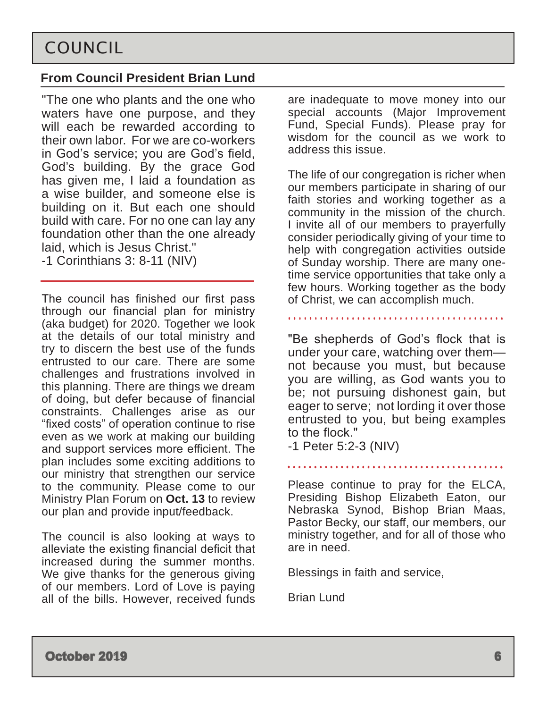## <span id="page-5-0"></span>**From Council President Brian Lund**

"The one who plants and the one who waters have one purpose, and they will each be rewarded according to their own labor. For we are co-workers in God's service; you are God's field, God's building. By the grace God has given me, I laid a foundation as a wise builder, and someone else is building on it. But each one should build with care. For no one can lay any foundation other than the one already laid, which is Jesus Christ." -1 Corinthians 3: 8-11 (NIV)

The council has finished our first pass through our financial plan for ministry (aka budget) for 2020. Together we look at the details of our total ministry and try to discern the best use of the funds entrusted to our care. There are some challenges and frustrations involved in this planning. There are things we dream of doing, but defer because of financial constraints. Challenges arise as our "fixed costs" of operation continue to rise even as we work at making our building and support services more efficient. The plan includes some exciting additions to our ministry that strengthen our service to the community. Please come to our Ministry Plan Forum on **Oct. 13** to review our plan and provide input/feedback.

The council is also looking at ways to alleviate the existing financial deficit that increased during the summer months. We give thanks for the generous giving of our members. Lord of Love is paying all of the bills. However, received funds

are inadequate to move money into our special accounts (Major Improvement Fund, Special Funds). Please pray for wisdom for the council as we work to address this issue.

The life of our congregation is richer when our members participate in sharing of our faith stories and working together as a community in the mission of the church. I invite all of our members to prayerfully consider periodically giving of your time to help with congregation activities outside of Sunday worship. There are many onetime service opportunities that take only a few hours. Working together as the body of Christ, we can accomplish much.

"Be shepherds of God's flock that is under your care, watching over them not because you must, but because you are willing, as God wants you to be; not pursuing dishonest gain, but eager to serve; not lording it over those entrusted to you, but being examples to the flock."

-1 Peter 5:2-3 (NIV)

Please continue to pray for the ELCA, Presiding Bishop Elizabeth Eaton, our Nebraska Synod, Bishop Brian Maas, Pastor Becky, our staff, our members, our ministry together, and for all of those who are in need.

Blessings in faith and service,

Brian Lund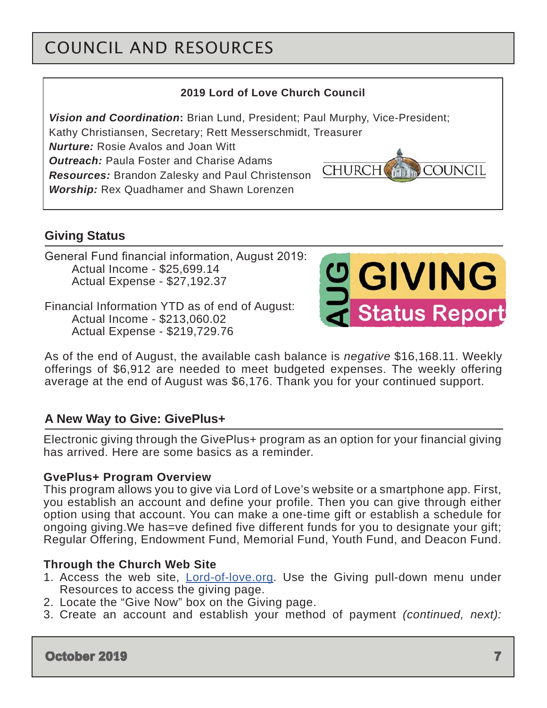# COUNCIL AND RESOURCES

### **2019 Lord of Love Church Council**

*Vision and Coordination***:** Brian Lund, President; Paul Murphy, Vice-President;

Kathy Christiansen, Secretary; Rett Messerschmidt, Treasurer

*Nurture:* Rosie Avalos and Joan Witt

*Outreach:* Paula Foster and Charise Adams *Resources:* Brandon Zalesky and Paul Christenson

*Worship:* Rex Quadhamer and Shawn Lorenzen

## **Giving Status**

General Fund financial information, August 2019: Actual Income - \$25,699.14 Actual Expense - \$27,192.37

Financial Information YTD as of end of August: Actual Income - \$213,060.02 Actual Expense - \$219,729.76



**COUNCIL** 

**CHURCH** 

As of the end of August, the available cash balance is *negative* \$16,168.11. Weekly offerings of \$6,912 are needed to meet budgeted expenses. The weekly offering average at the end of August was \$6,176. Thank you for your continued support.

## **A New Way to Give: GivePlus+**

Electronic giving through the GivePlus+ program as an option for your financial giving has arrived. Here are some basics as a reminder.

#### **GvePlus+ Program Overview**

This program allows you to give via Lord of Love's website or a smartphone app. First, you establish an account and define your profile. Then you can give through either option using that account. You can make a one-time gift or establish a schedule for ongoing giving.We has=ve defined five different funds for you to designate your gift; Regular Offering, Endowment Fund, Memorial Fund, Youth Fund, and Deacon Fund.

#### **Through the Church Web Site**

- 1. Access the web site, **[Lord-of-love.org](http://Lord-of-love.org).** Use the Giving pull-down menu under Resources to access the giving page.
- 2. Locate the "Give Now" box on the Giving page.
- 3. Create an account and establish your method of payment *(continued, next):*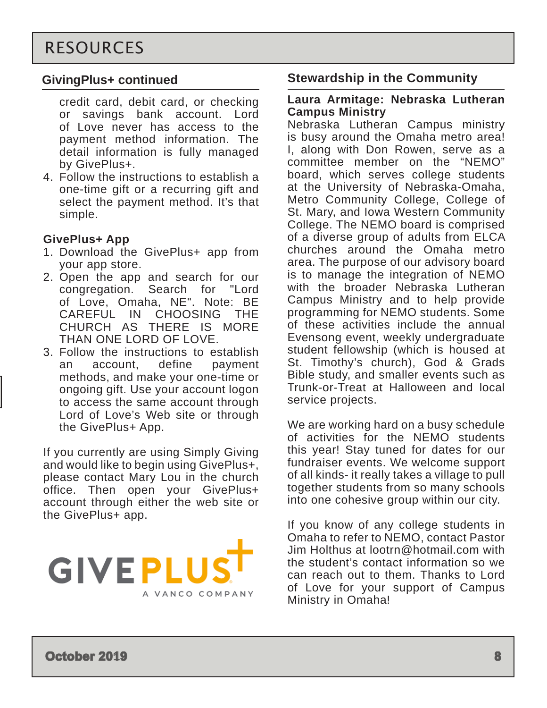## **GivingPlus+ continued**

credit card, debit card, or checking or savings bank account. Lord of Love never has access to the payment method information. The detail information is fully managed by GivePlus+.

4. Follow the instructions to establish a one-time gift or a recurring gift and select the payment method. It's that simple.

## **GivePlus+ App**

- 1. Download the GivePlus+ app from your app store.
- 2. Open the app and search for our congregation. Search for "Lord of Love, Omaha, NE". Note: BE CAREFUL IN CHOOSING THE CHURCH AS THERE IS MORE THAN ONE LORD OF LOVE.
- 3. Follow the instructions to establish an account, define payment methods, and make your one-time or ongoing gift. Use your account logon to access the same account through Lord of Love's Web site or through the GivePlus+ App.

If you currently are using Simply Giving and would like to begin using GivePlus+, please contact Mary Lou in the church office. Then open your GivePlus+ account through either the web site or the GivePlus+ app.



## **Stewardship in the Community**

#### **Laura Armitage: Nebraska Lutheran Campus Ministry**

Nebraska Lutheran Campus ministry is busy around the Omaha metro area! I, along with Don Rowen, serve as a committee member on the "NEMO" board, which serves college students at the University of Nebraska-Omaha, Metro Community College, College of St. Mary, and Iowa Western Community College. The NEMO board is comprised of a diverse group of adults from ELCA churches around the Omaha metro area. The purpose of our advisory board is to manage the integration of NEMO with the broader Nebraska Lutheran Campus Ministry and to help provide programming for NEMO students. Some of these activities include the annual Evensong event, weekly undergraduate student fellowship (which is housed at St. Timothy's church), God & Grads Bible study, and smaller events such as Trunk-or-Treat at Halloween and local service projects.

We are working hard on a busy schedule of activities for the NEMO students this year! Stay tuned for dates for our fundraiser events. We welcome support of all kinds- it really takes a village to pull together students from so many schools into one cohesive group within our city.

If you know of any college students in Omaha to refer to NEMO, contact Pastor Jim Holthus at lootrn@hotmail.com with the student's contact information so we can reach out to them. Thanks to Lord of Love for your support of Campus Ministry in Omaha!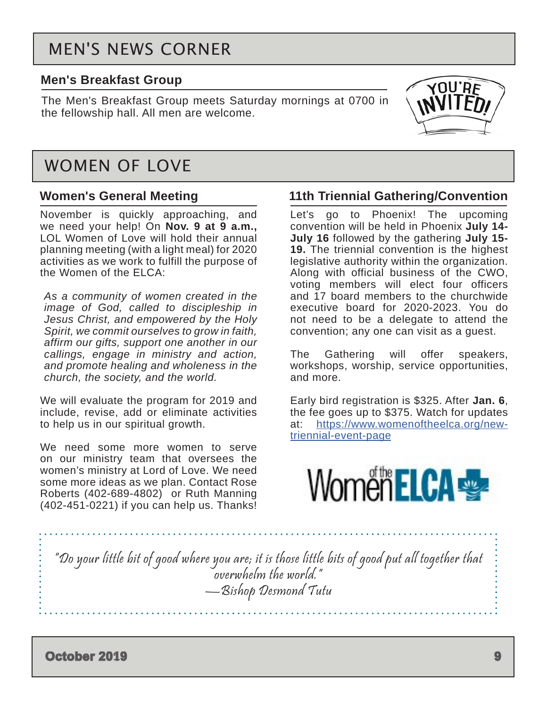# MEN'S NEWS CORNER

### **Men's Breakfast Group**

The Men's Breakfast Group meets Saturday mornings at 0700 in the fellowship hall. All men are welcome.



## WOMEN OF LOVE

### **Women's General Meeting**

November is quickly approaching, and we need your help! On **Nov. 9 at 9 a.m.,** LOL Women of Love will hold their annual planning meeting (with a light meal) for 2020 activities as we work to fulfill the purpose of the Women of the ELCA:

*As a community of women created in the image of God, called to discipleship in Jesus Christ, and empowered by the Holy Spirit, we commit ourselves to grow in faith, affirm our gifts, support one another in our callings, engage in ministry and action, and promote healing and wholeness in the church, the society, and the world.*

We will evaluate the program for 2019 and include, revise, add or eliminate activities to help us in our spiritual growth.

We need some more women to serve on our ministry team that oversees the women's ministry at Lord of Love. We need some more ideas as we plan. Contact Rose Roberts (402-689-4802) or Ruth Manning (402-451-0221) if you can help us. Thanks!

### **11th Triennial Gathering/Convention**

Let's go to Phoenix! The upcoming convention will be held in Phoenix **July 14- July 16** followed by the gathering **July 15- 19.** The triennial convention is the highest legislative authority within the organization. Along with official business of the CWO, voting members will elect four officers and 17 board members to the churchwide executive board for 2020-2023. You do not need to be a delegate to attend the convention; any one can visit as a guest.

The Gathering will offer speakers, workshops, worship, service opportunities, and more.

Early bird registration is \$325. After **Jan. 6**, the fee goes up to \$375. Watch for updates at: [https://www.womenoftheelca.org/new](https://www.womenoftheelca.org/new-triennial-event-page)[triennial-event-page](https://www.womenoftheelca.org/new-triennial-event-page)



"Do your little bit of good where you are; it is those little bits of good put all together that overwhelm the world." —Bishop Desmond Tutu

**October 2019 9**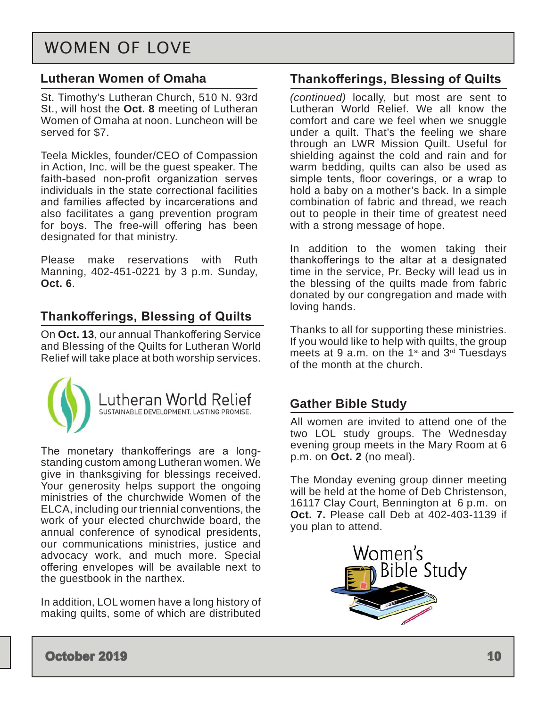## <span id="page-9-0"></span>WOMEN OF LOVE

### **Lutheran Women of Omaha**

St. Timothy's Lutheran Church, 510 N. 93rd St., will host the **Oct. 8** meeting of Lutheran Women of Omaha at noon. Luncheon will be served for \$7.

Teela Mickles, founder/CEO of Compassion in Action, Inc. will be the guest speaker. The faith-based non-profit organization serves individuals in the state correctional facilities and families affected by incarcerations and also facilitates a gang prevention program for boys. The free-will offering has been designated for that ministry.

Please make reservations with Ruth Manning, 402-451-0221 by 3 p.m. Sunday, **Oct. 6**.

## **Thankofferings, Blessing of Quilts**

On **Oct. 13**, our annual Thankoffering Service and Blessing of the Quilts for Lutheran World Relief will take place at both worship services.



The monetary thankofferings are a longstanding custom among Lutheran women. We give in thanksgiving for blessings received. Your generosity helps support the ongoing ministries of the churchwide Women of the ELCA, including our triennial conventions, the work of your elected churchwide board, the annual conference of synodical presidents, our communications ministries, justice and advocacy work, and much more. Special offering envelopes will be available next to the guestbook in the narthex.

In addition, LOL women have a long history of making quilts, some of which are distributed

### **Thankofferings, Blessing of Quilts**

*(continued)* locally, but most are sent to Lutheran World Relief. We all know the comfort and care we feel when we snuggle under a quilt. That's the feeling we share through an LWR Mission Quilt. Useful for shielding against the cold and rain and for warm bedding, quilts can also be used as simple tents, floor coverings, or a wrap to hold a baby on a mother's back. In a simple combination of fabric and thread, we reach out to people in their time of greatest need with a strong message of hope.

In addition to the women taking their thankofferings to the altar at a designated time in the service, Pr. Becky will lead us in the blessing of the quilts made from fabric donated by our congregation and made with loving hands.

Thanks to all for supporting these ministries. If you would like to help with quilts, the group meets at 9 a.m. on the 1st and 3rd Tuesdays of the month at the church.

### **Gather Bible Study**

All women are invited to attend one of the two LOL study groups. The Wednesday evening group meets in the Mary Room at 6 p.m. on **Oct. 2** (no meal).

The Monday evening group dinner meeting will be held at the home of Deb Christenson, 16117 Clay Court, Bennington at 6 p.m. on **Oct. 7.** Please call Deb at 402-403-1139 if you plan to attend.

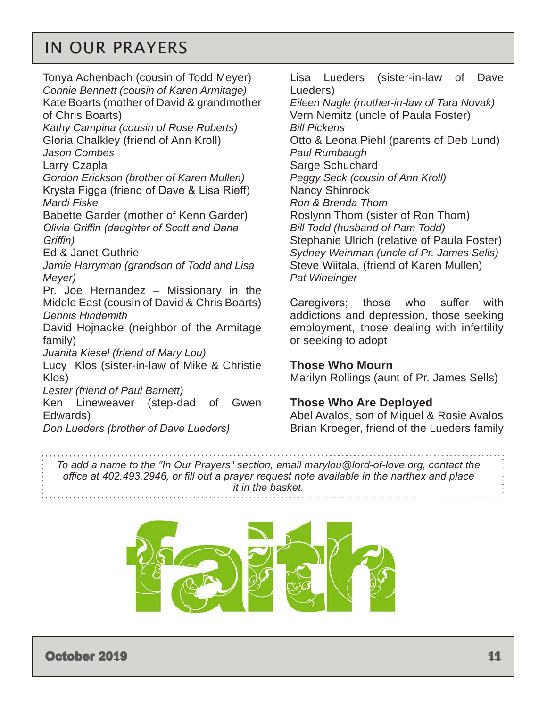# <span id="page-10-0"></span>IN OUR PRAYERS

Tonya Achenbach (cousin of Todd Meyer) *Connie Bennett (cousin of Karen Armitage)* Kate Boarts (mother of David & grandmother of Chris Boarts) *Kathy Campina (cousin of Rose Roberts)* Gloria Chalkley (friend of Ann Kroll) *Jason Combes* Larry Czapla *Gordon Erickson (brother of Karen Mullen)* Krysta Figga (friend of Dave & Lisa Rieff) *Mardi Fiske* Babette Garder (mother of Kenn Garder) *Olivia Griffin (daughter of Scott and Dana Griffin)* Ed & Janet Guthrie *Jamie Harryman (grandson of Todd and Lisa Meyer)* Pr. Joe Hernandez – Missionary in the Middle East (cousin of David & Chris Boarts) *Dennis Hindemith* David Hojnacke (neighbor of the Armitage family) *Juanita Kiesel (friend of Mary Lou)* Lucy Klos (sister-in-law of Mike & Christie Klos) *Lester (friend of Paul Barnett)* Ken Lineweaver (step-dad of Gwen Edwards) *Don Lueders (brother of Dave Lueders)*

Lisa Lueders (sister-in-law of Dave Lueders)

*Eileen Nagle (mother-in-law of Tara Novak)* Vern Nemitz (uncle of Paula Foster) *Bill Pickens* Otto & Leona Piehl (parents of Deb Lund) *Paul Rumbaugh* Sarge Schuchard *Peggy Seck (cousin of Ann Kroll)* Nancy Shinrock *Ron & Brenda Thom* Roslynn Thom (sister of Ron Thom) *Bill Todd (husband of Pam Todd)* Stephanie Ulrich (relative of Paula Foster) *Sydney Weinman (uncle of Pr. James Sells)*  Steve Wiitala, (friend of Karen Mullen) *Pat Wineinger*

Caregivers; those who suffer with addictions and depression, those seeking employment, those dealing with infertility or seeking to adopt

#### **Those Who Mourn**

Marilyn Rollings (aunt of Pr. James Sells)

#### **Those Who Are Deployed**

Abel Avalos, son of Miguel & Rosie Avalos Brian Kroeger, friend of the Lueders family

*To add a name to the "In Our Prayers" section, email marylou@lord-of-love.org, contact the office at 402.493.2946, or fill out a prayer request note available in the narthex and place it in the basket.* 

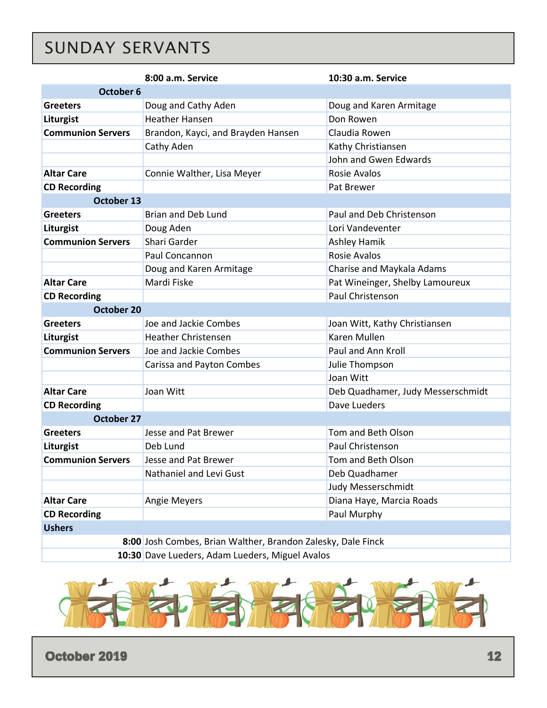# <span id="page-11-0"></span>SUNDAY SERVANTS

|                                                              | 8:00 a.m. Service                  | 10:30 a.m. Service                |  |  |  |  |  |
|--------------------------------------------------------------|------------------------------------|-----------------------------------|--|--|--|--|--|
| October 6                                                    |                                    |                                   |  |  |  |  |  |
| <b>Greeters</b>                                              | Doug and Cathy Aden                | Doug and Karen Armitage           |  |  |  |  |  |
| Liturgist                                                    | <b>Heather Hansen</b>              | Don Rowen                         |  |  |  |  |  |
| <b>Communion Servers</b>                                     | Brandon, Kayci, and Brayden Hansen | Claudia Rowen                     |  |  |  |  |  |
|                                                              | Cathy Aden                         | Kathy Christiansen                |  |  |  |  |  |
|                                                              |                                    | John and Gwen Edwards             |  |  |  |  |  |
| <b>Altar Care</b>                                            | Connie Walther, Lisa Meyer         | Rosie Avalos                      |  |  |  |  |  |
| <b>CD Recording</b>                                          |                                    | Pat Brewer                        |  |  |  |  |  |
| October 13                                                   |                                    |                                   |  |  |  |  |  |
| <b>Greeters</b>                                              | <b>Brian and Deb Lund</b>          | Paul and Deb Christenson          |  |  |  |  |  |
| Liturgist                                                    | Doug Aden                          | Lori Vandeventer                  |  |  |  |  |  |
| <b>Communion Servers</b>                                     | Shari Garder                       | <b>Ashley Hamik</b>               |  |  |  |  |  |
|                                                              | Paul Concannon                     | <b>Rosie Avalos</b>               |  |  |  |  |  |
|                                                              | Doug and Karen Armitage            | Charise and Maykala Adams         |  |  |  |  |  |
| <b>Altar Care</b>                                            | Mardi Fiske                        | Pat Wineinger, Shelby Lamoureux   |  |  |  |  |  |
| <b>CD Recording</b>                                          |                                    | Paul Christenson                  |  |  |  |  |  |
| <b>October 20</b>                                            |                                    |                                   |  |  |  |  |  |
| <b>Greeters</b>                                              | Joe and Jackie Combes              | Joan Witt, Kathy Christiansen     |  |  |  |  |  |
| Liturgist                                                    | <b>Heather Christensen</b>         | Karen Mullen                      |  |  |  |  |  |
| <b>Communion Servers</b>                                     | Joe and Jackie Combes              | Paul and Ann Kroll                |  |  |  |  |  |
|                                                              | Carissa and Payton Combes          | Julie Thompson                    |  |  |  |  |  |
|                                                              |                                    | Joan Witt                         |  |  |  |  |  |
| <b>Altar Care</b>                                            | Joan Witt                          | Deb Quadhamer, Judy Messerschmidt |  |  |  |  |  |
| <b>CD Recording</b>                                          |                                    | Dave Lueders                      |  |  |  |  |  |
| <b>October 27</b>                                            |                                    |                                   |  |  |  |  |  |
| <b>Greeters</b>                                              | Jesse and Pat Brewer               | Tom and Beth Olson                |  |  |  |  |  |
| Liturgist                                                    | Deb Lund                           | Paul Christenson                  |  |  |  |  |  |
| <b>Communion Servers</b>                                     | Jesse and Pat Brewer               | Tom and Beth Olson                |  |  |  |  |  |
|                                                              | Nathaniel and Levi Gust            | Deb Quadhamer                     |  |  |  |  |  |
|                                                              |                                    | Judy Messerschmidt                |  |  |  |  |  |
| <b>Altar Care</b>                                            | <b>Angie Meyers</b>                | Diana Haye, Marcia Roads          |  |  |  |  |  |
| <b>CD Recording</b>                                          |                                    | Paul Murphy                       |  |  |  |  |  |
| <b>Ushers</b>                                                |                                    |                                   |  |  |  |  |  |
| 8:00 Josh Combes, Brian Walther, Brandon Zalesky, Dale Finck |                                    |                                   |  |  |  |  |  |
| 10:30 Dave Lueders, Adam Lueders, Miguel Avalos              |                                    |                                   |  |  |  |  |  |



**October 2019 12 12**